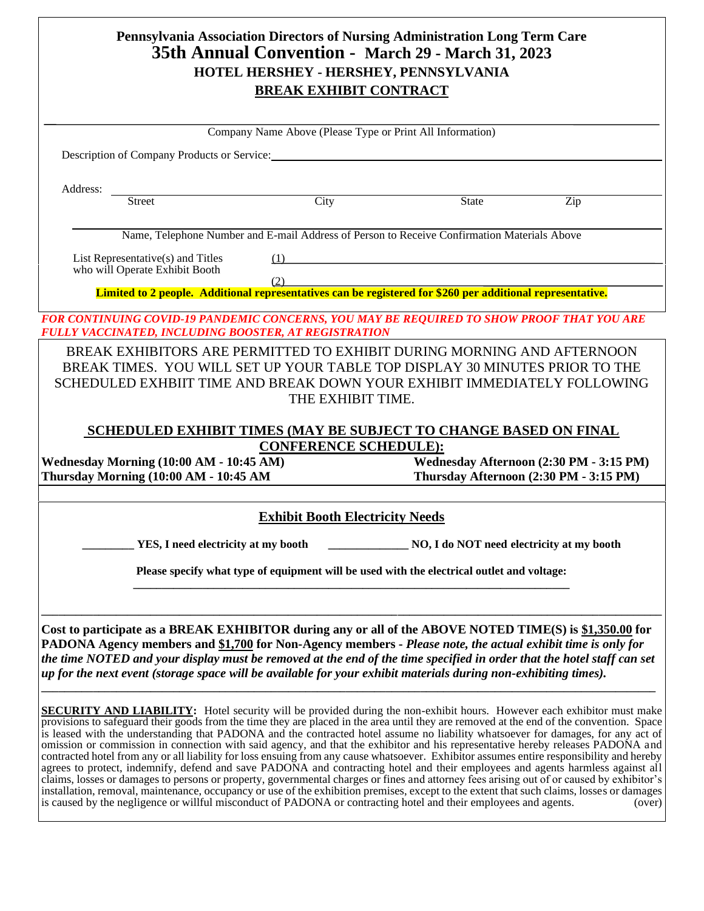|                                                                                                                                                                                                                                                                             | Pennsylvania Association Directors of Nursing Administration Long Term Care<br>35th Annual Convention - March 29 - March 31, 2023 |                                           |                                         |
|-----------------------------------------------------------------------------------------------------------------------------------------------------------------------------------------------------------------------------------------------------------------------------|-----------------------------------------------------------------------------------------------------------------------------------|-------------------------------------------|-----------------------------------------|
|                                                                                                                                                                                                                                                                             | HOTEL HERSHEY - HERSHEY, PENNSYLVANIA                                                                                             |                                           |                                         |
|                                                                                                                                                                                                                                                                             | <b>BREAK EXHIBIT CONTRACT</b>                                                                                                     |                                           |                                         |
|                                                                                                                                                                                                                                                                             |                                                                                                                                   |                                           |                                         |
|                                                                                                                                                                                                                                                                             | Company Name Above (Please Type or Print All Information)                                                                         |                                           |                                         |
| Description of Company Products or Service:                                                                                                                                                                                                                                 |                                                                                                                                   |                                           |                                         |
| Address:                                                                                                                                                                                                                                                                    |                                                                                                                                   |                                           |                                         |
| <b>Street</b>                                                                                                                                                                                                                                                               | City                                                                                                                              | <b>State</b>                              | Zip                                     |
|                                                                                                                                                                                                                                                                             | Name, Telephone Number and E-mail Address of Person to Receive Confirmation Materials Above                                       |                                           |                                         |
| List Representative(s) and Titles<br>who will Operate Exhibit Booth                                                                                                                                                                                                         | (1)                                                                                                                               |                                           |                                         |
|                                                                                                                                                                                                                                                                             | (2)<br><u>ابکا</u><br>Limited to 2 people. Additional representatives can be registered for \$260 per additional representative.  |                                           |                                         |
|                                                                                                                                                                                                                                                                             |                                                                                                                                   |                                           |                                         |
| <b>FOR CONTINUING COVID-19 PANDEMIC CONCERNS, YOU MAY BE REQUIRED TO SHOW PROOF THAT YOU ARE</b><br>FULLY VACCINATED, INCLUDING BOOSTER, AT REGISTRATION                                                                                                                    |                                                                                                                                   |                                           |                                         |
| BREAK EXHIBITORS ARE PERMITTED TO EXHIBIT DURING MORNING AND AFTERNOON                                                                                                                                                                                                      |                                                                                                                                   |                                           |                                         |
| BREAK TIMES. YOU WILL SET UP YOUR TABLE TOP DISPLAY 30 MINUTES PRIOR TO THE                                                                                                                                                                                                 |                                                                                                                                   |                                           |                                         |
| SCHEDULED EXHBIIT TIME AND BREAK DOWN YOUR EXHIBIT IMMEDIATELY FOLLOWING                                                                                                                                                                                                    | THE EXHIBIT TIME.                                                                                                                 |                                           |                                         |
|                                                                                                                                                                                                                                                                             |                                                                                                                                   |                                           |                                         |
|                                                                                                                                                                                                                                                                             | SCHEDULED EXHIBIT TIMES (MAY BE SUBJECT TO CHANGE BASED ON FINAL                                                                  |                                           |                                         |
| Wednesday Morning (10:00 AM - 10:45 AM)                                                                                                                                                                                                                                     | <b>CONFERENCE SCHEDULE):</b>                                                                                                      |                                           | Wednesday Afternoon (2:30 PM - 3:15 PM) |
| Thursday Morning (10:00 AM - 10:45 AM                                                                                                                                                                                                                                       |                                                                                                                                   |                                           | Thursday Afternoon (2:30 PM - 3:15 PM)  |
|                                                                                                                                                                                                                                                                             |                                                                                                                                   |                                           |                                         |
|                                                                                                                                                                                                                                                                             | <b>Exhibit Booth Electricity Needs</b>                                                                                            |                                           |                                         |
|                                                                                                                                                                                                                                                                             | YES, I need electricity at my booth                                                                                               | NO, I do NOT need electricity at my booth |                                         |
|                                                                                                                                                                                                                                                                             | Please specify what type of equipment will be used with the electrical outlet and voltage:                                        |                                           |                                         |
|                                                                                                                                                                                                                                                                             |                                                                                                                                   |                                           |                                         |
|                                                                                                                                                                                                                                                                             |                                                                                                                                   |                                           |                                         |
| Cost to participate as a BREAK EXHIBITOR during any or all of the ABOVE NOTED TIME(S) is \$1,350.00 for                                                                                                                                                                     |                                                                                                                                   |                                           |                                         |
| PADONA Agency members and \$1,700 for Non-Agency members - Please note, the actual exhibit time is only for                                                                                                                                                                 |                                                                                                                                   |                                           |                                         |
| the time NOTED and your display must be removed at the end of the time specified in order that the hotel staff can set                                                                                                                                                      |                                                                                                                                   |                                           |                                         |
| up for the next event (storage space will be available for your exhibit materials during non-exhibiting times).                                                                                                                                                             |                                                                                                                                   |                                           |                                         |
| <b>SECURITY AND LIABILITY:</b> Hotel security will be provided during the non-exhibit hours. However each exhibitor must make                                                                                                                                               |                                                                                                                                   |                                           |                                         |
| provisions to safeguard their goods from the time they are placed in the area until they are removed at the end of the convention. Space                                                                                                                                    |                                                                                                                                   |                                           |                                         |
| is leased with the understanding that PADONA and the contracted hotel assume no liability whatsoever for damages, for any act of<br>omission or commission in connection with said agency, and that the exhibitor and his representative hereby releases PADONA and         |                                                                                                                                   |                                           |                                         |
| contracted hotel from any or all liability for loss ensuing from any cause whatsoever. Exhibitor assumes entire responsibility and hereby<br>agrees to protect, indemnify, defend and save PADONA and contracting hotel and their employees and agents harmless against all |                                                                                                                                   |                                           |                                         |
| claims, losses or damages to persons or property, governmental charges or fines and attorney fees arising out of or caused by exhibitor's                                                                                                                                   |                                                                                                                                   |                                           |                                         |
| installation, removal, maintenance, occupancy or use of the exhibition premises, except to the extent that such claims, losses or damages<br>is caused by the negligence or willful misconduct of PADONA or contracting hotel and their employees and agents.               |                                                                                                                                   |                                           | (over)                                  |
|                                                                                                                                                                                                                                                                             |                                                                                                                                   |                                           |                                         |
|                                                                                                                                                                                                                                                                             |                                                                                                                                   |                                           |                                         |